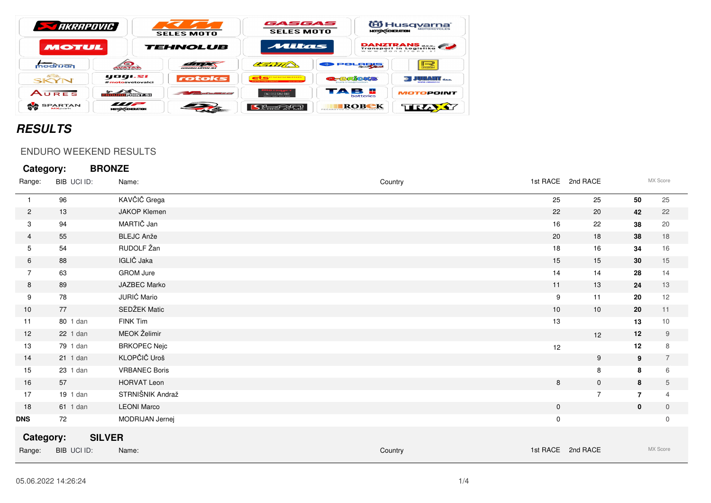| <b>STARRAPOVIC</b>           |                                           | <b>SELES MOTO</b>                                   | GASGAS<br><b>SELES MOTO</b>                                                                              | <b>MOTO CENERATION</b>                     | <b>iii)</b> Husqvarna®<br><b>MOTORCYCLES</b> |
|------------------------------|-------------------------------------------|-----------------------------------------------------|----------------------------------------------------------------------------------------------------------|--------------------------------------------|----------------------------------------------|
| <b>MOTUL</b>                 |                                           | TEHNOLUB                                            | Mitas                                                                                                    |                                            | DANZTRANS                                    |
| modrijan                     | WATAR                                     | <i><b>URULUANS SI</b></i>                           | 27.717                                                                                                   | POLRK                                      | $\sum_{\text{SSRAR}}$                        |
| <b>ASB.</b><br>SKYN          | yogi.si<br>#motosvetovalci                | rotoks                                              | <b>The same primary primary primary structure in the literature</b><br><b>Concert Public Street, All</b> | <b>2-3640425</b><br>ENATO Irracacimenticam | <b>By JURANT</b> and                         |
| AURES                        | <b>ROPOINT.SI</b>                         | and the contract of the contract of the contract of | $F = F \times F$<br>Gam, 091,411,418                                                                     | ТАВ Е<br>batteries                         | <b>MOTOPOINT</b>                             |
| <b>SPARTAN</b><br>$MX$ parts | $\blacksquare$<br><b>MOTO CGENERATION</b> |                                                     |                                                                                                          | ROBCK                                      | TIRZA                                        |

## **RESULTS**

## ENDURO WEEKEND RESULTS

| Category:      |             | <b>BRONZE</b>        |         |             |                   |                |                |
|----------------|-------------|----------------------|---------|-------------|-------------------|----------------|----------------|
| Range:         | BIB UCI ID: | Name:                | Country |             | 1st RACE 2nd RACE |                | MX Score       |
| $\mathbf{1}$   | 96          | KAVČIČ Grega         |         | 25          | 25                | 50             | 25             |
| $\overline{2}$ | 13          | <b>JAKOP Klemen</b>  |         | 22          | 20                | 42             | 22             |
| 3              | 94          | MARTIČ Jan           |         | 16          | 22                | 38             | 20             |
| 4              | 55          | <b>BLEJC Anže</b>    |         | 20          | 18                | 38             | 18             |
| 5              | 54          | RUDOLF Žan           |         | 18          | 16                | 34             | 16             |
| 6              | 88          | IGLIČ Jaka           |         | 15          | 15                | 30             | 15             |
| 7              | 63          | <b>GROM Jure</b>     |         | 14          | 14                | 28             | 14             |
| 8              | 89          | JAZBEC Marko         |         | 11          | 13                | 24             | 13             |
| 9              | 78          | JURIĆ Mario          |         | 9           | 11                | 20             | 12             |
| 10             | 77          | SEDŽEK Matic         |         | 10          | 10                | 20             | 11             |
| 11             | 80 1 dan    | FINK Tim             |         | 13          |                   | 13             | 10             |
| 12             | 22 1 dan    | MEOK Želimir         |         |             | 12                | 12             | 9              |
| 13             | 79 1 dan    | <b>BRKOPEC Nejc</b>  |         | 12          |                   | 12             | 8              |
| 14             | 21 1 dan    | KLOPČIČ Uroš         |         |             | 9                 | 9              | $\overline{7}$ |
| 15             | 23 1 dan    | <b>VRBANEC Boris</b> |         |             | 8                 | 8              | 6              |
| 16             | 57          | <b>HORVAT Leon</b>   |         | 8           | $\mathbf 0$       | 8              | 5              |
| 17             | 19 1 dan    | STRNIŠNIK Andraž     |         |             | $\overline{7}$    | $\overline{7}$ | $\overline{4}$ |
| 18             | 61 1 dan    | <b>LEONI Marco</b>   |         | $\mathbf 0$ |                   | $\mathbf 0$    | $\overline{0}$ |
| DNS            | 72          | MODRIJAN Jernej      |         | 0           |                   |                | $\mathbf 0$    |
| Category:      |             | <b>SILVER</b>        |         |             |                   |                |                |
| Range:         | BIB UCI ID: | Name:                | Country |             | 1st RACE 2nd RACE |                | MX Score       |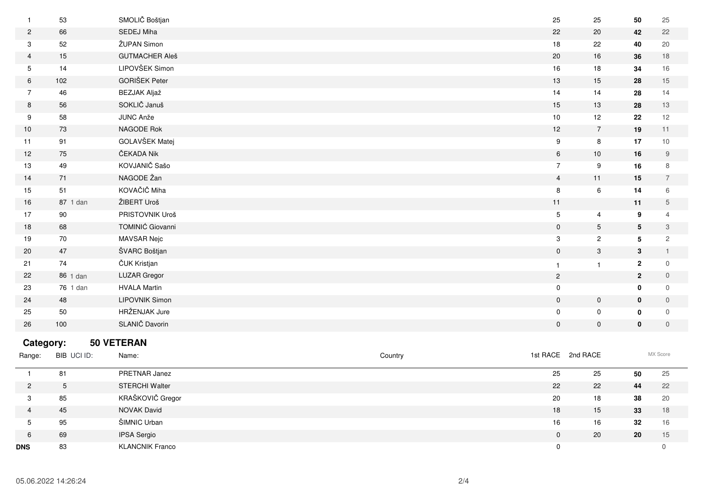|                | 53          | SMOLIČ Boštjan        |         | 25               | 25                | 50              | 25             |
|----------------|-------------|-----------------------|---------|------------------|-------------------|-----------------|----------------|
| $\overline{c}$ | 66          | SEDEJ Miha            |         | 22               | 20                | 42              | 22             |
| 3              | 52          | ŽUPAN Simon           |         | 18               | 22                | 40              | 20             |
| 4              | 15          | <b>GUTMACHER Aleš</b> |         | 20               | 16                | 36              | 18             |
| 5              | 14          | LIPOVŠEK Simon        |         | 16               | 18                | 34              | 16             |
| 6              | 102         | <b>GORIŠEK Peter</b>  |         | 13               | 15                | 28              | 15             |
| $\overline{7}$ | 46          | <b>BEZJAK Aljaž</b>   |         | 14               | 14                | 28              | 14             |
| 8              | 56          | SOKLIČ Januš          |         | 15               | 13                | 28              | 13             |
| 9              | 58          | JUNC Anže             |         | 10               | 12                | 22              | 12             |
| 10             | 73          | NAGODE Rok            |         | $12$             | $\overline{7}$    | 19              | 11             |
| 11             | 91          | GOLAVŠEK Matej        |         | $\boldsymbol{9}$ | 8                 | 17              | $10$           |
| 12             | 75          | ČEKADA Nik            |         | $\,6\,$          | 10                | 16              | 9              |
| 13             | 49          | KOVJANIČ Sašo         |         | $\overline{7}$   | 9                 | 16              | 8              |
| 14             | 71          | NAGODE Žan            |         | $\overline{4}$   | 11                | 15              | $\overline{7}$ |
| 15             | 51          | KOVAČIČ Miha          |         | 8                | 6                 | 14              | 6              |
| 16             | 87 1 dan    | ŽIBERT Uroš           |         | 11               |                   | 11              | 5              |
| 17             | 90          | PRISTOVNIK Uroš       |         | $\sqrt{5}$       | 4                 | 9               | $\overline{4}$ |
| 18             | 68          | TOMINIĆ Giovanni      |         | $\mathbf 0$      | $5\phantom{.0}$   | $5\phantom{.0}$ | 3              |
| 19             | 70          | <b>MAVSAR Nejc</b>    |         | 3                | $\overline{2}$    | 5               | $\overline{2}$ |
| 20             | 47          | ŠVARC Boštjan         |         | $\boldsymbol{0}$ | $\mathbf{3}$      | $\mathbf{3}$    | $\mathbf{1}$   |
| 21             | 74          | ČUK Kristjan          |         | $\mathbf{1}$     | $\mathbf{1}$      | $\overline{2}$  | $\mathbf 0$    |
| 22             | 86 1 dan    | <b>LUZAR Gregor</b>   |         | $\sqrt{2}$       |                   | $\overline{2}$  | $\mathbf 0$    |
| 23             | 76 1 dan    | <b>HVALA Martin</b>   |         | $\mathbf 0$      |                   | $\mathbf{0}$    | 0              |
| 24             | 48          | <b>LIPOVNIK Simon</b> |         | $\mathbf 0$      | $\mathbf 0$       | 0               | $\mathbf 0$    |
| 25             | 50          | HRŽENJAK Jure         |         | $\mathbf 0$      | $\mathbf 0$       | 0               | $\mathbf 0$    |
| 26             | 100         | SLANIČ Davorin        |         | $\mathbf 0$      | $\mathbf 0$       | $\mathbf 0$     | $\mathbf 0$    |
| Category:      |             | 50 VETERAN            |         |                  |                   |                 |                |
| Range:         | BIB UCI ID: | Name:                 | Country |                  | 1st RACE 2nd RACE |                 | MX Score       |
| $\mathbf{1}$   | 81          | PRETNAR Janez         |         | 25               | 25                | 50              | 25             |
| $\mathcal{P}$  | 5           | <b>STERCHI Walter</b> |         | 22               | 22                | 44              | 22             |

| ՟          |    | <b>STERCHI Walter</b>  | 22 | 22 | 44 | 22     |
|------------|----|------------------------|----|----|----|--------|
|            | 85 | KRAŠKOVIČ Gregor       | 20 | 18 | 38 | 20     |
|            | 45 | <b>NOVAK David</b>     | 18 | 15 | 33 | 18     |
|            | 95 | ŠIMNIC Urban           | 16 | 16 | 32 | 16     |
|            | 69 | IPSA Sergio            |    | 20 | 20 | $\sim$ |
| <b>DNS</b> | 83 | <b>KLANCNIK Franco</b> |    |    |    |        |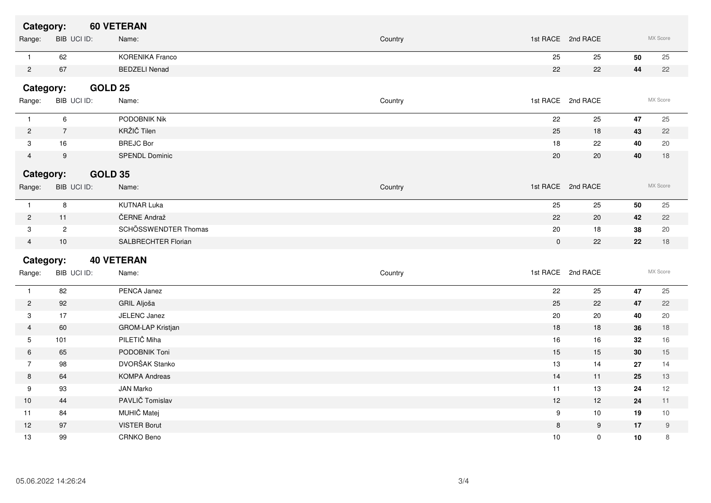| Category:      |                  |                | <b>60 VETERAN</b>      |             |                   |            |                  |
|----------------|------------------|----------------|------------------------|-------------|-------------------|------------|------------------|
| Range:         |                  | BIB UCI ID:    | Name:                  | Country     | 1st RACE 2nd RACE |            | MX Score         |
| $\mathbf{1}$   | 62               |                | <b>KORENIKA Franco</b> | 25          | 25                | 50         | 25               |
| $\overline{c}$ | 67               |                | <b>BEDZELI Nenad</b>   | 22          | 22                | 44         | 22               |
| Category:      |                  | <b>GOLD 25</b> |                        |             |                   |            |                  |
| Range:         |                  | BIB UCI ID:    | Name:                  | Country     | 1st RACE 2nd RACE |            | MX Score         |
| $\mathbf{1}$   | 6                |                | PODOBNIK Nik           | 22          | 25                | 47         | 25               |
| $\overline{c}$ | $\overline{7}$   |                | KRŽIČ Tilen            | 25          | 18                | 43         | 22               |
| 3              | 16               |                | <b>BREJC Bor</b>       | 18          | 22                | 40         | 20               |
| $\overline{4}$ | $\boldsymbol{9}$ |                | <b>SPENDL Dominic</b>  | 20          | 20                | 40         | 18               |
| Category:      |                  | <b>GOLD 35</b> |                        |             |                   |            |                  |
| Range:         |                  | BIB UCI ID:    | Name:                  | Country     | 1st RACE 2nd RACE |            | MX Score         |
| $\mathbf{1}$   | $\, 8$           |                | <b>KUTNAR Luka</b>     | 25          | 25                | 50         | 25               |
| $\overline{c}$ | 11               |                | ČERNE Andraž           | 22          | 20                | 42         | 22               |
| 3              | $\overline{2}$   |                | SCHÖSSWENDTER Thomas   | 20          | 18                | 38         | 20               |
| 4              | $10$             |                | SALBRECHTER Florian    | $\mathbf 0$ | 22                | 22         | 18               |
| Category:      |                  |                | <b>40 VETERAN</b>      |             |                   |            |                  |
| Range:         |                  | BIB UCI ID:    | Name:                  | Country     | 1st RACE 2nd RACE |            | MX Score         |
| $\mathbf{1}$   | 82               |                | PENCA Janez            | 22          | 25                | 47         | 25               |
| $\overline{c}$ | 92               |                | GRIL Aljoša            | 25          | 22                | 47         | 22               |
| $\mathbf{3}$   | 17               |                | JELENC Janez           | 20          | 20                | 40         | 20               |
| 4              | 60               |                | GROM-LAP Kristjan      | 18          | $18$              | 36         | $18$             |
| 5              | 101              |                | PILETIČ Miha           | 16          | 16                | 32         | 16               |
| 6              | 65               |                | PODOBNIK Toni          | 15          | 15                | 30         | 15               |
| $\overline{7}$ | 98               |                | DVORŠAK Stanko         | 13          | 14                | 27         | 14               |
| 8              | 64               |                | <b>KOMPA Andreas</b>   | 14          | 11                | 25         | 13               |
| 9              | 93               |                | JAN Marko              | 11          | 13                | 24         | 12               |
| 10             | 44               |                | PAVLIČ Tomislav        | 12          | 12                | 24         | 11               |
| 11             | 84               |                | MUHIČ Matej            | 9           | 10                | 19         | 10               |
| 12             | 97               |                | <b>VISTER Borut</b>    | 8           | 9                 | 17         | $\boldsymbol{9}$ |
| 13             | 99               |                | CRNKO Beno             | 10          | $\mathbf 0$       | ${\bf 10}$ | 8                |